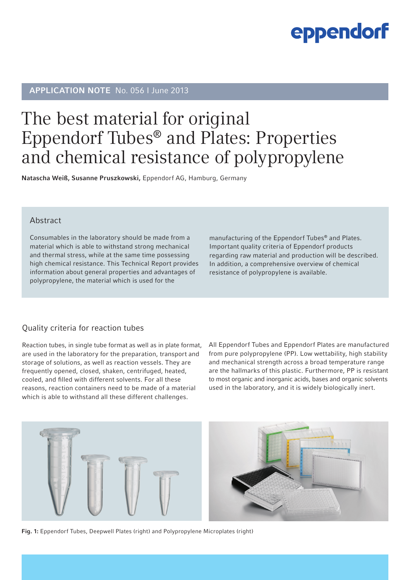### APPLICATION NOTE No. 056 | June 2013

### The best material for original Eppendorf Tubes® and Plates: Properties and chemical resistance of polypropylene

Natascha Weiß, Susanne Pruszkowski, Eppendorf AG, Hamburg, Germany

### Abstract

Consumables in the laboratory should be made from a material which is able to withstand strong mechanical and thermal stress, while at the same time possessing high chemical resistance. This Technical Report provides information about general properties and advantages of polypropylene, the material which is used for the

manufacturing of the Eppendorf Tubes® and Plates. Important quality criteria of Eppendorf products regarding raw material and production will be described. In addition, a comprehensive overview of chemical resistance of polypropylene is available.

### Quality criteria for reaction tubes

Reaction tubes, in single tube format as well as in plate format, are used in the laboratory for the preparation, transport and storage of solutions, as well as reaction vessels. They are frequently opened, closed, shaken, centrifuged, heated, cooled, and filled with different solvents. For all these reasons, reaction containers need to be made of a material which is able to withstand all these different challenges.

All Eppendorf Tubes and Eppendorf Plates are manufactured from pure polypropylene (PP). Low wettability, high stability and mechanical strength across a broad temperature range are the hallmarks of this plastic. Furthermore, PP is resistant to most organic and inorganic acids, bases and organic solvents used in the laboratory, and it is widely biologically inert.



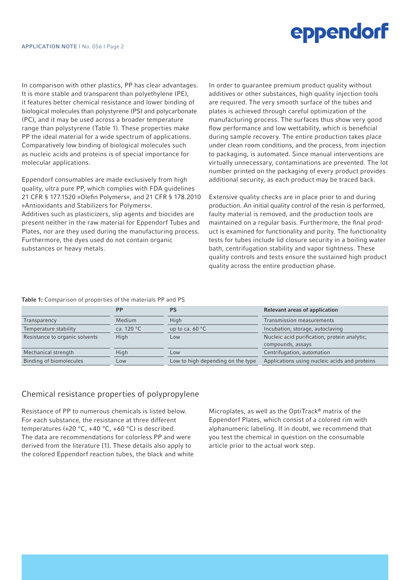In comparison with other plastics, PP has clear advantages. It is more stable and transparent than polyethylene (PE), it features better chemical resistance and lower binding of biological molecules than polystyrene (PS) and polycarbonate (PC), and it may be used across a broader temperature range than polystyrene (Table 1). These properties make PP the ideal material for a wide spectrum of applications. Comparatively low binding of biological molecules such as nucleic acids and proteins is of special importance for molecular applications.

Eppendorf consumables are made exclusively from high quality, ultra pure PP, which complies with FDA guidelines 21 CFR § 177.1520 »Olefin Polymers«, and 21 CFR § 178.2010 »Antioxidants and Stabilizers for Polymers«. Additives such as plasticizers, slip agents and biocides are present neither in the raw material for Eppendorf Tubes and Plates, nor are they used during the manufacturing process. Furthermore, the dyes used do not contain organic substances or heavy metals.

In order to guarantee premium product quality without additives or other substances, high quality injection tools are required. The very smooth surface of the tubes and plates is achieved through careful optimization of the manufacturing process. The surfaces thus show very good flow performance and low wettability, which is beneficial during sample recovery. The entire production takes place under clean room conditions, and the process, from injection to packaging, is automated. Since manual interventions are virtually unnecessary, contaminations are prevented. The lot number printed on the packaging of every product provides additional security, as each product may be traced back.

Extensive quality checks are in place prior to and during production. An initial quality control of the resin is performed, faulty material is removed, and the production tools are maintained on a regular basis. Furthermore, the final product is examined for functionality and purity. The functionality tests for tubes include lid closure security in a boiling water bath, centrifugation stability and vapor tightness. These quality controls and tests ensure the sustained high product quality across the entire production phase.

#### Table 1: Comparison of properties of the materials PP and PS

|                                | РP           | PS                                                  | Relevant areas of application                 |
|--------------------------------|--------------|-----------------------------------------------------|-----------------------------------------------|
| Transparency                   | Medium       | High                                                | Transmission measurements                     |
| Temperature stability          | ca. $120 °C$ | up to ca. 60 $\degree$ C                            | Incubation, storage, autoclaving              |
| Resistance to organic solvents | High         | Nucleic acid purification, protein analytic,<br>Low |                                               |
|                                |              |                                                     | compounds, assays                             |
| Mechanical strength            | High         | Low                                                 | Centrifugation, automation                    |
| Binding of biomolecules        | Low          | Low to high depending on the type                   | Applications using nucleic acids and proteins |

### Chemical resistance properties of polypropylene

Resistance of PP to numerous chemicals is listed below. For each substance, the resistance at three different temperatures (+20 °C, +40 °C, +60 °C) is described. The data are recommendations for colorless PP and were derived from the literature [1]. These details also apply to the colored Eppendorf reaction tubes, the black and white Microplates, as well as the OptiTrack® matrix of the Eppendorf Plates, which consist of a colored rim with alphanumeric labeling. If in doubt, we recommend that you test the chemical in question on the consumable article prior to the actual work step.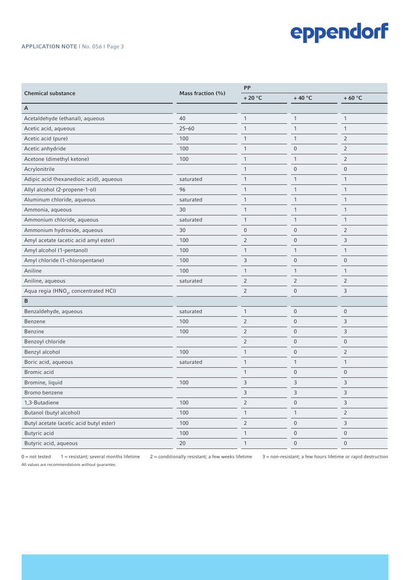### APPLICATION NOTE I No. 056 I Page 3

|                                                  |                   | PP               |                  |                  |
|--------------------------------------------------|-------------------|------------------|------------------|------------------|
| <b>Chemical substance</b>                        | Mass fraction (%) | $+20 °C$         | $+40^{\circ}$ C  | $+60 °C$         |
| A                                                |                   |                  |                  |                  |
| Acetaldehyde (ethanal), aqueous                  | 40                | 1                | $\mathbf{1}$     | 1                |
| Acetic acid, aqueous                             | $25 - 60$         | $\mathbf{1}$     | $\mathbf{1}$     | $\mathbf{1}$     |
| Acetic acid (pure)                               | 100               | 1                | $\mathbf{1}$     | $\overline{2}$   |
| Acetic anhydride                                 | 100               | 1                | $\boldsymbol{0}$ | $\overline{2}$   |
| Acetone (dimethyl ketone)                        | 100               | 1                | $\mathbf{1}$     | $\overline{2}$   |
| Acrylonitrile                                    |                   | $\mathbf{1}$     | $\pmb{0}$        | $\boldsymbol{0}$ |
| Adipic acid (hexanedioic acid), aqueous          | saturated         | 1                | $\mathbf{1}$     | $\mathbf{1}$     |
| Allyl alcohol (2-propene-1-ol)                   | 96                | 1                | 1                | 1                |
| Aluminum chloride, aqueous                       | saturated         | 1                | 1                | 1                |
| Ammonia, aqueous                                 | 30                | 1                | $\mathbf{1}$     | 1                |
| Ammonium chloride, aqueous                       | saturated         | $\mathbf{1}$     | $\mathbf{1}$     | 1                |
| Ammonium hydroxide, aqueous                      | 30                | $\boldsymbol{0}$ | $\boldsymbol{0}$ | 2                |
| Amyl acetate (acetic acid amyl ester)            | 100               | $\overline{2}$   | $\overline{0}$   | 3                |
| Amyl alcohol (1-pentanol)                        | 100               | 1                | $\mathbf{1}$     | 1                |
| Amyl chloride (1-chloropentane)                  | 100               | 3                | $\boldsymbol{0}$ | $\boldsymbol{0}$ |
| Aniline                                          | 100               | 1                | $\mathbf{1}$     | 1                |
| Aniline, aqueous                                 | saturated         | $\overline{2}$   | $\overline{2}$   | $\overline{2}$   |
| Aqua regia (HNO <sub>3</sub> , concentrated HCI) |                   | 2                | $\overline{0}$   | 3                |
| в                                                |                   |                  |                  |                  |
| Benzaldehyde, aqueous                            | saturated         | 1                | $\overline{0}$   | $\mathbf 0$      |
| Benzene                                          | 100               | $\overline{2}$   | $\overline{0}$   | 3                |
| <b>Benzine</b>                                   | 100               | $\overline{2}$   | $\overline{0}$   | 3                |
| Benzoyl chloride                                 |                   | $\overline{2}$   | $\pmb{0}$        | $\pmb{0}$        |
| Benzyl alcohol                                   | 100               | $\mathbf{1}$     | $\overline{0}$   | $\overline{2}$   |
| Boric acid, aqueous                              | saturated         | $\mathbf{1}$     | $\mathbf{1}$     | 1                |
| Bromic acid                                      |                   | $\mathbf{1}$     | $\boldsymbol{0}$ | $\boldsymbol{0}$ |
| Bromine, liquid                                  | 100               | 3                | 3                | 3                |
| Bromo benzene                                    |                   | 3                | 3                | 3                |
| 1,3-Butadiene                                    | 100               | $\overline{2}$   | $\boldsymbol{0}$ | $\mathfrak{Z}$   |
| Butanol (butyl alcohol)                          | 100               | $\mathbf{1}$     | $\mathbf{1}$     | $\sqrt{2}$       |
| Butyl acetate (acetic acid butyl ester)          | 100               | $\overline{2}$   | $\overline{0}$   | $\mathfrak{Z}$   |
| Butyric acid                                     | 100               | $\mathbf{1}$     | $\boldsymbol{0}$ | $\boldsymbol{0}$ |
| Butyric acid, aqueous                            | $20\,$            | $\mathbf{1}$     | $\boldsymbol{0}$ | $\boldsymbol{0}$ |

All values are recommendations without guarantee.  $0 =$  not tested 1 = resistant; several months lifetime 2 = conditionally resistant; a few weeks lifetime 3 = non-resistant; a few hours lifetime or rapid destruction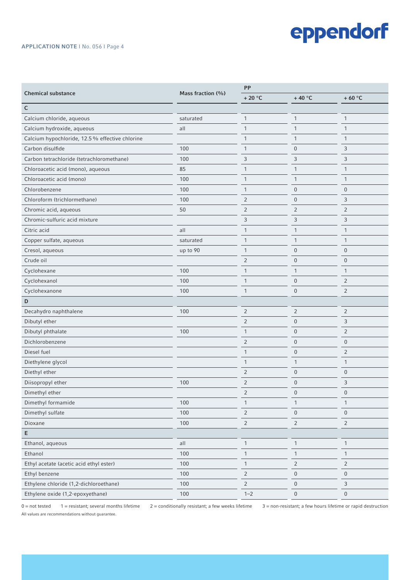### APPLICATION NOTE I No. 056 I Page 4

| <b>Chemical substance</b>                       | Mass fraction (%) | PP             |                  |                  |  |
|-------------------------------------------------|-------------------|----------------|------------------|------------------|--|
|                                                 |                   | $+20 °C$       | $+40^{\circ}$ C  | $+60$ °C         |  |
| C                                               |                   |                |                  |                  |  |
| Calcium chloride, aqueous                       | saturated         | 1              | $\mathbf{1}$     | 1                |  |
| Calcium hydroxide, aqueous                      | all               | $\mathbf{1}$   | $\mathbf{1}$     | $\mathbf{1}$     |  |
| Calcium hypochloride, 12.5 % effective chlorine |                   | 1              | $\mathbf{1}$     | 1                |  |
| Carbon disulfide                                | 100               | 1              | $\boldsymbol{0}$ | 3                |  |
| Carbon tetrachloride (tetrachloromethane)       | 100               | 3              | 3                | 3                |  |
| Chloroacetic acid (mono), aqueous               | 85                | $\mathbf{1}$   | $\mathbf{1}$     | 1                |  |
| Chloroacetic acid (mono)                        | 100               | $\mathbf{1}$   | $\mathbf{1}$     | $\mathbf{1}$     |  |
| Chlorobenzene                                   | 100               | 1              | $\overline{0}$   | 0                |  |
| Chloroform (trichlormethane)                    | 100               | 2              | $\overline{0}$   | 3                |  |
| Chromic acid, aqueous                           | 50                | $\overline{2}$ | $\overline{2}$   | 2                |  |
| Chromic-sulfuric acid mixture                   |                   | 3              | 3                | 3                |  |
| Citric acid                                     | all               | 1              | 1                | 1                |  |
| Copper sulfate, aqueous                         | saturated         | $\mathbf{1}$   | 1                | $\mathbf{1}$     |  |
| Cresol, aqueous                                 | up to 90          | 1              | $\boldsymbol{0}$ | $\boldsymbol{0}$ |  |
| Crude oil                                       |                   | $\overline{2}$ | $\boldsymbol{0}$ | $\mathbf 0$      |  |
| Cyclohexane                                     | 100               | 1              | $\mathbf{1}$     | $\mathbf{1}$     |  |
| Cyclohexanol                                    | 100               | 1              | $\mathbf 0$      | $\overline{2}$   |  |
| Cyclohexanone                                   | 100               | $\mathbf{1}$   | $\boldsymbol{0}$ | $\overline{2}$   |  |
| D                                               |                   |                |                  |                  |  |
| Decahydro naphthalene                           | 100               | $\overline{2}$ | $\overline{2}$   | 2                |  |
| Dibutyl ether                                   |                   | $\overline{2}$ | $\overline{0}$   | 3                |  |
| Dibutyl phthalate                               | 100               | 1              | $\overline{0}$   | 2                |  |
| Dichlorobenzene                                 |                   | $\overline{2}$ | $\boldsymbol{0}$ | 0                |  |
| Diesel fuel                                     |                   | 1              | $\overline{0}$   | 2                |  |
| Diethylene glycol                               |                   | 1              | 1                | $\mathbf{1}$     |  |
| Diethyl ether                                   |                   | $\overline{2}$ | $\boldsymbol{0}$ | $\boldsymbol{0}$ |  |
| Diisopropyl ether                               | 100               | $\overline{2}$ | $\boldsymbol{0}$ | 3                |  |
| Dimethyl ether                                  |                   | 2              | $\Omega$         | $\Omega$         |  |
| Dimethyl formamide                              | 100               | $\mathbf{1}$   | $\mathbf{1}$     | $\mathbf{1}$     |  |
| Dimethyl sulfate                                | 100               | $\overline{2}$ | $\boldsymbol{0}$ | $\boldsymbol{0}$ |  |
| Dioxane                                         | 100               | $\overline{2}$ | $\overline{2}$   | $\overline{2}$   |  |
| E                                               |                   |                |                  |                  |  |
| Ethanol, aqueous                                | all               | $\mathbf{1}$   | $\mathbf{1}$     | $\mathbf{1}$     |  |
| Ethanol                                         | 100               | $\mathbf{1}$   | $\mathbf{1}$     | $\mathbf{1}$     |  |
| Ethyl acetate (acetic acid ethyl ester)         | 100               | $\mathbf{1}$   | $\overline{2}$   | $\overline{2}$   |  |
| Ethyl benzene                                   | 100               | $\overline{2}$ | $\boldsymbol{0}$ | $\boldsymbol{0}$ |  |
| Ethylene chloride (1,2-dichloroethane)          | 100               | $\overline{2}$ | $\boldsymbol{0}$ | 3                |  |
| Ethylene oxide (1,2-epoxyethane)                | 100               | $1 - 2$        | $\pmb{0}$        | $\boldsymbol{0}$ |  |

All values are recommendations without guarantee.  $0 =$  not tested  $1 =$  resistant; several months lifetime  $2 =$  conditionally resistant; a few weeks lifetime  $3 =$  non-resistant; a few hours lifetime or rapid destruction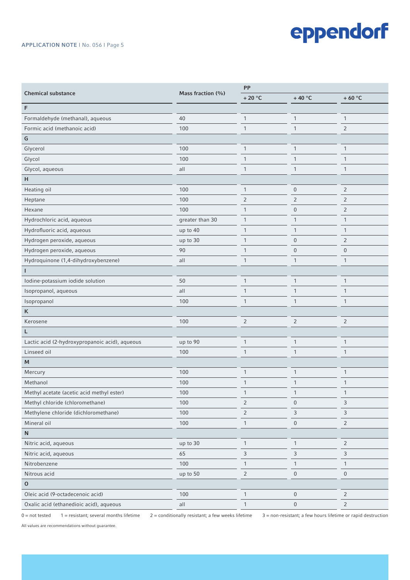### APPLICATION NOTE I No. 056 I Page 5

| <b>Chemical substance</b>                      |                   | PP             |                  |                  |  |
|------------------------------------------------|-------------------|----------------|------------------|------------------|--|
|                                                | Mass fraction (%) | $+20 °C$       | $+40 °C$         | $+60 °C$         |  |
| F                                              |                   |                |                  |                  |  |
| Formaldehyde (methanal), aqueous               | 40                | $\mathbf{1}$   | $\mathbf{1}$     | $\mathbf{1}$     |  |
| Formic acid (methanoic acid)                   | 100               | 1              | $\mathbf{1}$     | $\overline{2}$   |  |
| G                                              |                   |                |                  |                  |  |
| Glycerol                                       | 100               | $\mathbf{1}$   | $\mathbf{1}$     | $\mathbf{1}$     |  |
| Glycol                                         | 100               | 1              | $\mathbf{1}$     | $\mathbf{1}$     |  |
| Glycol, aqueous                                | all               | 1              | $\mathbf{1}$     | $\mathbf{1}$     |  |
| H                                              |                   |                |                  |                  |  |
| Heating oil                                    | 100               | $\mathbf{1}$   | $\boldsymbol{0}$ | $\overline{2}$   |  |
| Heptane                                        | 100               | $\overline{2}$ | $\overline{2}$   | 2                |  |
| Hexane                                         | 100               | 1              | $\boldsymbol{0}$ | 2                |  |
| Hydrochloric acid, aqueous                     | greater than 30   | $\mathbf{1}$   | $\mathbf{1}$     | $\mathbf{1}$     |  |
| Hydrofluoric acid, aqueous                     | up to 40          | $\mathbf{1}$   | $\mathbf{1}$     | $\mathbf{1}$     |  |
| Hydrogen peroxide, aqueous                     | up to 30          | 1              | $\boldsymbol{0}$ | $\overline{2}$   |  |
| Hydrogen peroxide, aqueous                     | 90                | 1              | $\boldsymbol{0}$ | $\pmb{0}$        |  |
| Hydroquinone (1,4-dihydroxybenzene)            | all               | 1              | $\mathbf{1}$     | $\mathbf{1}$     |  |
|                                                |                   |                |                  |                  |  |
| Iodine-potassium iodide solution               | 50                | $\mathbf{1}$   | $\mathbf{1}$     | $\mathbf{1}$     |  |
| Isopropanol, aqueous                           | all               | 1              | 1                | $\mathbf{1}$     |  |
| Isopropanol                                    | 100               | $\mathbf{1}$   | 1                | $\mathbf{1}$     |  |
| К                                              |                   |                |                  |                  |  |
| Kerosene                                       | 100               | 2              | $\overline{2}$   | $\overline{2}$   |  |
| L                                              |                   |                |                  |                  |  |
| Lactic acid (2-hydroxypropanoic acid), aqueous | up to 90          | 1              | $\mathbf{1}$     | $\mathbf{1}$     |  |
| Linseed oil                                    | 100               | 1              | 1                | $\mathbf{1}$     |  |
| M                                              |                   |                |                  |                  |  |
| Mercury                                        | 100               | $\mathbf{1}$   | 1                | $\mathbf{1}$     |  |
| Methanol                                       | 100               | 1              | $\mathbf{1}$     | $\mathbf{1}$     |  |
| Methyl acetate (acetic acid methyl ester)      | 100               | 1              | 1                | $\mathbf{1}$     |  |
| Methyl chloride (chloromethane)                | 100               | $\overline{2}$ | $\mathbf 0$      | 3                |  |
| Methylene chloride (dichloromethane)           | 100               | $\overline{c}$ | 3                | 3                |  |
| Mineral oil                                    | 100               | 1              | $\boldsymbol{0}$ | $\overline{2}$   |  |
| ${\sf N}$                                      |                   |                |                  |                  |  |
| Nitric acid, aqueous                           | up to 30          | 1              | 1                | $\overline{2}$   |  |
| Nitric acid, aqueous                           | 65                | 3              | 3                | 3                |  |
| Nitrobenzene                                   | 100               | 1              | $\mathbf{1}$     | $\mathbf{1}$     |  |
| Nitrous acid                                   | up to 50          | $\overline{c}$ | $\boldsymbol{0}$ | $\boldsymbol{0}$ |  |
| $\mathbf 0$                                    |                   |                |                  |                  |  |
| Oleic acid (9-octadecenoic acid)               | 100               | $\mathbf{1}$   | $\boldsymbol{0}$ | $\overline{2}$   |  |
| Oxalic acid (ethanedioic acid), aqueous        | $\mathsf{all}$    | 1              | $\boldsymbol{0}$ | $\overline{2}$   |  |
|                                                |                   |                |                  |                  |  |

 $0 =$  not tested  $1 =$  resistant; several months lifetime  $2 =$  conditionally resistant; a few weeks lifetime  $3 =$  non-resistant; a few hours lifetime or rapid destruction

All values are recommendations without guarantee.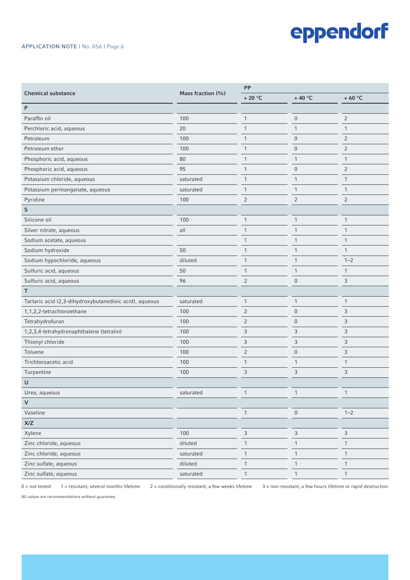### APPLICATION NOTE I No. 056 I Page 6

|                                                        |                   | PP             |                  |                |  |
|--------------------------------------------------------|-------------------|----------------|------------------|----------------|--|
| <b>Chemical substance</b>                              | Mass fraction (%) | $+20 °C$       | $+40^{\circ}$ C  | $+60 °C$       |  |
| P                                                      |                   |                |                  |                |  |
| Paraffin oil                                           | 100               | $\mathbf{1}$   | $\boldsymbol{0}$ | 2              |  |
| Perchloric acid, aqueous                               | 20                | $\mathbf{1}$   | $\mathbf{1}$     | $\mathbf{1}$   |  |
| Petroleum                                              | 100               | $\mathbf{1}$   | $\boldsymbol{0}$ | $\overline{2}$ |  |
| Petroleum ether                                        | 100               | 1              | $\boldsymbol{0}$ | 2              |  |
| Phosphoric acid, aqueous                               | 80                | $\mathbf{1}$   | $\mathbf{1}$     | $\mathbf{1}$   |  |
| Phosphoric acid, aqueous                               | 95                | 1              | $\boldsymbol{0}$ | $\overline{2}$ |  |
| Potassium chloride, aqueous                            | saturated         | 1              | $\mathbf{1}$     | $\mathbf{1}$   |  |
| Potassium permanganate, aqueous                        | saturated         | $\mathbf{1}$   | $\mathbf{1}$     | $\mathbf{1}$   |  |
| Pyridine                                               | 100               | 2              | $\overline{2}$   | $\overline{2}$ |  |
| S                                                      |                   |                |                  |                |  |
| Silicone oil                                           | 100               | $\mathbf{1}$   | $\mathbf{1}$     | $\mathbf{1}$   |  |
| Silver nitrate, aqueous                                | all               | 1              | 1                | $\mathbf{1}$   |  |
| Sodium acetate, aqueous                                |                   | 1              | $\mathbf{1}$     | $\mathbf{1}$   |  |
| Sodium hydroxide                                       | 50                | 1              | $\mathbf{1}$     | $\mathbf{1}$   |  |
| Sodium hypochloride, aqueous                           | diluted           | $\mathbf{1}$   | $\mathbf{1}$     | $1 - 2$        |  |
| Sulfuric acid, aqueous                                 | 50                | 1              | $\mathbf{1}$     | 1              |  |
| Sulfuric acid, aqueous                                 | 96                | $\overline{2}$ | $\boldsymbol{0}$ | 3              |  |
| Τ                                                      |                   |                |                  |                |  |
| Tartaric acid (2,3-dihydroxybutanedioic acid), aqueous | saturated         | $\mathbf{1}$   | $\mathbf{1}$     | $\mathbf{1}$   |  |
| 1,1,2,2-tetrachloroethane                              | 100               | $\overline{2}$ | $\mathbf 0$      | 3              |  |
| Tetrahydrofuran                                        | 100               | $\overline{2}$ | $\boldsymbol{0}$ | 3              |  |
| 1,2,3,4-tetrahydronaphthalene (tetralin)               | 100               | 3              | 3                | 3              |  |
| Thionyl chloride                                       | 100               | 3              | 3                | 3              |  |
| Toluene                                                | 100               | $\overline{2}$ | $\pmb{0}$        | 3              |  |
| Trichloroacetic acid                                   | 100               | $\mathbf{1}$   | $\mathbf{1}$     | $\mathbf{1}$   |  |
| Turpentine                                             | 100               | 3              | $\mathsf 3$      | 3              |  |
| $\sf U$                                                |                   |                |                  |                |  |
| Urea, aqueous                                          | saturated         | $\mathbf{1}$   | $\mathbf{1}$     | $\mathbf{1}$   |  |
| $\mathsf{V}$                                           |                   |                |                  |                |  |
| Vaseline                                               |                   | $\mathbf{1}$   | $\boldsymbol{0}$ | $1 - 2$        |  |
| X/Z                                                    |                   |                |                  |                |  |
| Xylene                                                 | 100               | 3              | 3                | 3              |  |
| Zinc chloride, aqueous                                 | diluted           | $\mathbf{1}$   | $\mathbf{1}$     | $\mathbf{1}$   |  |
| Zinc chloride, aqueous                                 | saturated         | $\mathbf{1}$   | $\mathbf{1}$     | 1              |  |
| Zinc sulfate, aqueous                                  | diluted           | $\mathbf{1}$   | $\mathbf{1}$     | 1              |  |
| Zinc sulfate, aqueous                                  | saturated         | $\mathbf{1}$   | $\mathbf{1}$     | $\mathbf{1}$   |  |
|                                                        |                   |                |                  |                |  |

 $0 =$  not tested  $1 =$  resistant; several months lifetime  $2 =$  conditionally resistant; a few weeks lifetime  $3 =$  non-resistant; a few hours lifetime or rapid destruction

All values are recommendations without guarantee.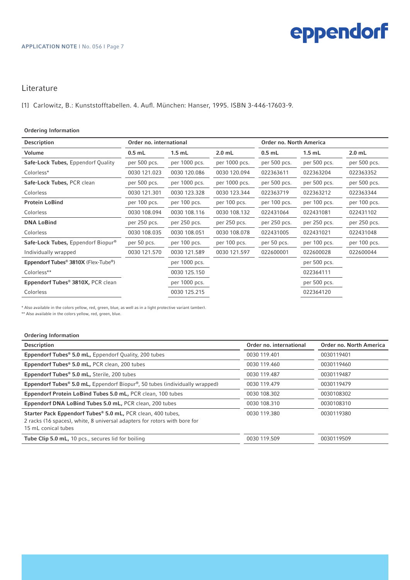### Literature

[1] Carlowitz, B.: Kunststofftabellen. 4. Aufl. München: Hanser, 1995. ISBN 3-446-17603-9.

### Ordering Information

| Description                                                  | Order no. international |               |               | Order no. North America |              |              |  |
|--------------------------------------------------------------|-------------------------|---------------|---------------|-------------------------|--------------|--------------|--|
| <b>Volume</b>                                                | $0.5$ mL                | $1.5$ mL      | $2.0$ mL      | $0.5$ mL                | $1.5$ mL     | $2.0$ mL     |  |
| Safe-Lock Tubes, Eppendorf Quality                           | per 500 pcs.            | per 1000 pcs. | per 1000 pcs. | per 500 pcs.            | per 500 pcs. | per 500 pcs. |  |
| Colorless*                                                   | 0030 121.023            | 0030 120.086  | 0030 120.094  | 022363611               | 022363204    | 022363352    |  |
| Safe-Lock Tubes, PCR clean                                   | per 500 pcs.            | per 1000 pcs. | per 1000 pcs. | per 500 pcs.            | per 500 pcs. | per 500 pcs. |  |
| Colorless                                                    | 0030 121.301            | 0030 123.328  | 0030 123.344  | 022363719               | 022363212    | 022363344    |  |
| <b>Protein LoBind</b>                                        | per 100 pcs.            | per 100 pcs.  | per 100 pcs.  | per 100 pcs.            | per 100 pcs. | per 100 pcs. |  |
| Colorless                                                    | 0030 108.094            | 0030 108.116  | 0030 108.132  | 022431064               | 022431081    | 022431102    |  |
| <b>DNA LoBind</b>                                            | per 250 pcs.            | per 250 pcs.  | per 250 pcs.  | per 250 pcs.            | per 250 pcs. | per 250 pcs. |  |
| Colorless                                                    | 0030 108.035            | 0030 108.051  | 0030 108.078  | 022431005               | 022431021    | 022431048    |  |
| Safe-Lock Tubes, Eppendorf Biopur®                           | per 50 pcs.             | per 100 pcs.  | per 100 pcs.  | per 50 pcs.             | per 100 pcs. | per 100 pcs. |  |
| Individually wrapped                                         | 0030 121.570            | 0030 121.589  | 0030 121.597  | 022600001               | 022600028    | 022600044    |  |
| Eppendorf Tubes <sup>®</sup> 3810X (Flex-Tube <sup>®</sup> ) |                         | per 1000 pcs. |               |                         | per 500 pcs. |              |  |
| Colorless**                                                  |                         | 0030 125.150  |               |                         | 022364111    |              |  |
| Eppendorf Tubes <sup>®</sup> 3810X, PCR clean                |                         | per 1000 pcs. |               |                         | per 500 pcs. |              |  |
| Colorless                                                    |                         | 0030 125.215  |               |                         | 022364120    |              |  |
|                                                              |                         |               |               |                         |              |              |  |

\* Also available in the colors yellow, red, green, blue, as well as in a light protective variant (amber).

\*\* Also available in the colors yellow, red, green, blue.

### Ordering Information

| <b>Description</b>                                                                                                                                              | Order no. international | Order no. North America |
|-----------------------------------------------------------------------------------------------------------------------------------------------------------------|-------------------------|-------------------------|
| Eppendorf Tubes <sup>®</sup> 5.0 mL, Eppendorf Quality, 200 tubes                                                                                               | 0030 119.401            | 0030119401              |
| Eppendorf Tubes <sup>®</sup> 5.0 mL, PCR clean, 200 tubes                                                                                                       | 0030 119.460            | 0030119460              |
| Eppendorf Tubes <sup>®</sup> 5.0 mL, Sterile, 200 tubes                                                                                                         | 0030 119.487            | 0030119487              |
| <b>Eppendorf Tubes</b> <sup>®</sup> 5.0 mL, Eppendorf Biopur <sup>®</sup> , 50 tubes (individually wrapped)                                                     | 0030 119 479            | 0030119479              |
| Eppendorf Protein LoBind Tubes 5.0 mL, PCR clean, 100 tubes                                                                                                     | 0030 108.302            | 0030108302              |
| Eppendorf DNA LoBind Tubes 5.0 mL, PCR clean, 200 tubes                                                                                                         | 0030 108.310            | 0030108310              |
| Starter Pack Eppendorf Tubes® 5.0 mL, PCR clean, 400 tubes,<br>2 racks (16 spaces), white, 8 universal adapters for rotors with bore for<br>15 mL conical tubes | 0030 119.380            | 0030119380              |
| Tube Clip 5.0 mL, 10 pcs., secures lid for boiling                                                                                                              | 0030 119.509            | 0030119509              |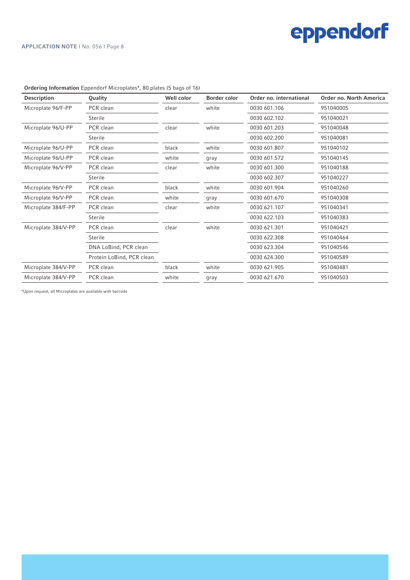### APPLICATION NOTE I No. 056 I Page 8

| Description         | Quality                   | Well color | Border color | Order no. international | Order no. North America |
|---------------------|---------------------------|------------|--------------|-------------------------|-------------------------|
| Microplate 96/F-PP  | PCR clean                 | clear      | white        | 0030 601.106            | 951040005               |
|                     | <b>Sterile</b>            |            |              | 0030 602.102            | 951040021               |
| Microplate 96/U-PP  | PCR clean                 | clear      | white        | 0030 601.203            | 951040048               |
|                     | Sterile                   |            |              | 0030 602.200            | 951040081               |
| Microplate 96/U-PP  | PCR clean                 | black      | white        | 0030 601.807            | 951040102               |
| Microplate 96/U-PP  | PCR clean                 | white      | gray         | 0030 601.572            | 951040145               |
| Microplate 96/V-PP  | PCR clean                 | clear      | white        | 0030 601.300            | 951040188               |
|                     | Sterile                   |            |              | 0030 602.307            | 951040227               |
| Microplate 96/V-PP  | PCR clean                 | black      | white        | 0030 601.904            | 951040260               |
| Microplate 96/V-PP  | PCR clean                 | white      | gray         | 0030 601.670            | 951040308               |
| Microplate 384/F-PP | PCR clean                 | clear      | white        | 0030 621.107            | 951040341               |
|                     | <b>Sterile</b>            |            |              | 0030 622.103            | 951040383               |
| Microplate 384/V-PP | PCR clean                 | clear      | white        | 0030 621.301            | 951040421               |
|                     | Sterile                   |            |              | 0030 622.308            | 951040464               |
|                     | DNA LoBind, PCR clean     |            |              | 0030 623.304            | 951040546               |
|                     | Protein LoBind, PCR clean |            |              | 0030 624.300            | 951040589               |
| Microplate 384/V-PP | PCR clean                 | black      | white        | 0030 621.905            | 951040481               |
| Microplate 384/V-PP | PCR clean                 | white      | gray         | 0030 621.670            | 951040503               |

Ordering Information Eppendorf Microplates\*, 80 plates (5 bags of 16)

\*Upon request, all Microplates are available with barcode